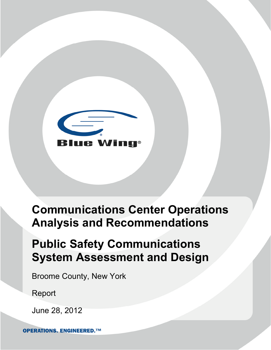

# **Communications Center Operations Analysis and Recommendations**

# **Public Safety Communications System Assessment and Design**

Broome County, New York

Report

June 28, 2012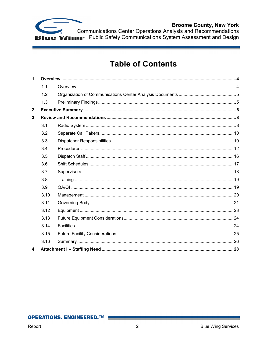

Communications Center Operations Analysis and Recommendations<br> **Iguar Public Safety Communications System Assessment and Design** 

# **Table of Contents**

| $\mathbf 1$    |      |  |  |  |  |  |  |  |
|----------------|------|--|--|--|--|--|--|--|
|                | 1.1  |  |  |  |  |  |  |  |
|                | 1.2  |  |  |  |  |  |  |  |
|                | 1.3  |  |  |  |  |  |  |  |
| $\overline{2}$ |      |  |  |  |  |  |  |  |
| 3              |      |  |  |  |  |  |  |  |
|                | 3.1  |  |  |  |  |  |  |  |
|                | 3.2  |  |  |  |  |  |  |  |
|                | 3.3  |  |  |  |  |  |  |  |
|                | 3.4  |  |  |  |  |  |  |  |
|                | 3.5  |  |  |  |  |  |  |  |
|                | 3.6  |  |  |  |  |  |  |  |
|                | 3.7  |  |  |  |  |  |  |  |
|                | 3.8  |  |  |  |  |  |  |  |
|                | 3.9  |  |  |  |  |  |  |  |
|                | 3.10 |  |  |  |  |  |  |  |
|                | 3.11 |  |  |  |  |  |  |  |
|                | 3.12 |  |  |  |  |  |  |  |
|                | 3.13 |  |  |  |  |  |  |  |
|                | 3.14 |  |  |  |  |  |  |  |
|                | 3.15 |  |  |  |  |  |  |  |
|                | 3.16 |  |  |  |  |  |  |  |
| 4              |      |  |  |  |  |  |  |  |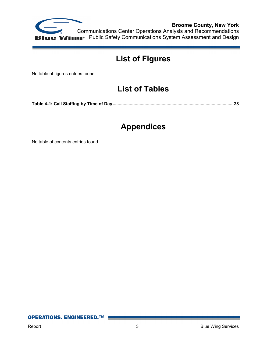

# **List of Figures**

No table of figures entries found.

# **List of Tables**

**Table 4-1: Call Staffing by Time of Day ................................................................................................... 28**

# **Appendices**

No table of contents entries found.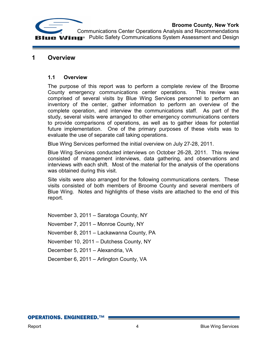



# **1 Overview**

# **1.1 Overview**

The purpose of this report was to perform a complete review of the Broome County emergency communications center operations. This review was comprised of several visits by Blue Wing Services personnel to perform an inventory of the center, gather information to perform an overview of the complete operation, and interview the communications staff. As part of the study, several visits were arranged to other emergency communications centers to provide comparisons of operations, as well as to gather ideas for potential future implementation. One of the primary purposes of these visits was to evaluate the use of separate call taking operations.

Blue Wing Services performed the initial overview on July 27-28, 2011.

Blue Wing Services conducted interviews on October 26-28, 2011. This review consisted of management interviews, data gathering, and observations and interviews with each shift. Most of the material for the analysis of the operations was obtained during this visit.

Site visits were also arranged for the following communications centers. These visits consisted of both members of Broome County and several members of Blue Wing. Notes and highlights of these visits are attached to the end of this report.

November 3, 2011 – Saratoga County, NY November 7, 2011 – Monroe County, NY November 8, 2011 – Lackawanna County, PA November 10, 2011 – Dutchess County, NY December 5, 2011 – Alexandria, VA December 6, 2011 – Arlington County, VA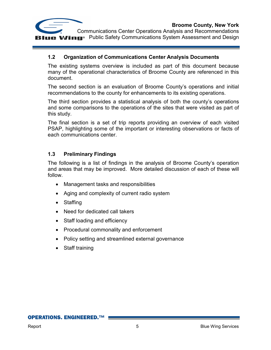

# **1.2 Organization of Communications Center Analysis Documents**

The existing systems overview is included as part of this document because many of the operational characteristics of Broome County are referenced in this document.

The second section is an evaluation of Broome County's operations and initial recommendations to the county for enhancements to its existing operations.

The third section provides a statistical analysis of both the county's operations and some comparisons to the operations of the sites that were visited as part of this study.

The final section is a set of trip reports providing an overview of each visited PSAP, highlighting some of the important or interesting observations or facts of each communications center.

# **1.3 Preliminary Findings**

The following is a list of findings in the analysis of Broome County's operation and areas that may be improved. More detailed discussion of each of these will follow.

- Management tasks and responsibilities
- Aging and complexity of current radio system
- Staffing
- Need for dedicated call takers
- Staff loading and efficiency
- Procedural commonality and enforcement
- Policy setting and streamlined external governance
- Staff training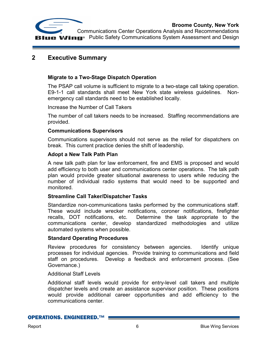



# **2 Executive Summary**

# **Migrate to a Two-Stage Dispatch Operation**

The PSAP call volume is sufficient to migrate to a two-stage call taking operation. E9-1-1 call standards shall meet New York state wireless guidelines. Nonemergency call standards need to be established locally.

Increase the Number of Call Takers

The number of call takers needs to be increased. Staffing recommendations are provided.

#### **Communications Supervisors**

Communications supervisors should not serve as the relief for dispatchers on break. This current practice denies the shift of leadership.

#### **Adopt a New Talk Path Plan**

A new talk path plan for law enforcement, fire and EMS is proposed and would add efficiency to both user and communications center operations. The talk path plan would provide greater situational awareness to users while reducing the number of individual radio systems that would need to be supported and monitored.

# **Streamline Call Taker/Dispatcher Tasks**

Standardize non-communications tasks performed by the communications staff. These would include wrecker notifications, coroner notifications, firefighter recalls, DOT notifications, etc. Determine the task appropriate to the communications center, develop standardized methodologies and utilize automated systems when possible.

#### **Standard Operating Procedures**

Review procedures for consistency between agencies. Identify unique processes for individual agencies. Provide training to communications and field staff on procedures. Develop a feedback and enforcement process. (See Governance.)

#### Additional Staff Levels

Additional staff levels would provide for entry-level call takers and multiple dispatcher levels and create an assistance supervisor position. These positions would provide additional career opportunities and add efficiency to the communications center.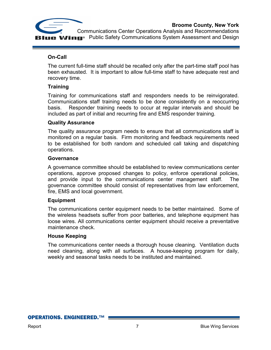



# **On-Call**

The current full-time staff should be recalled only after the part-time staff pool has been exhausted. It is important to allow full-time staff to have adequate rest and recovery time.

# **Training**

Training for communications staff and responders needs to be reinvigorated. Communications staff training needs to be done consistently on a reoccurring basis. Responder training needs to occur at regular intervals and should be included as part of initial and recurring fire and EMS responder training.

#### **Quality Assurance**

The quality assurance program needs to ensure that all communications staff is monitored on a regular basis. Firm monitoring and feedback requirements need to be established for both random and scheduled call taking and dispatching operations.

#### **Governance**

A governance committee should be established to review communications center operations, approve proposed changes to policy, enforce operational policies, and provide input to the communications center management staff. The governance committee should consist of representatives from law enforcement, fire, EMS and local government.

# **Equipment**

The communications center equipment needs to be better maintained. Some of the wireless headsets suffer from poor batteries, and telephone equipment has loose wires. All communications center equipment should receive a preventative maintenance check.

#### **House Keeping**

The communications center needs a thorough house cleaning. Ventilation ducts need cleaning, along with all surfaces. A house-keeping program for daily, weekly and seasonal tasks needs to be instituted and maintained.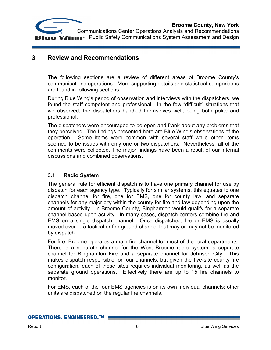



# **3 Review and Recommendations**

The following sections are a review of different areas of Broome County's communications operations. More supporting details and statistical comparisons are found in following sections.

During Blue Wing's period of observation and interviews with the dispatchers, we found the staff competent and professional. In the few "difficult" situations that we observed, the dispatchers handled themselves well, being both polite and professional.

The dispatchers were encouraged to be open and frank about any problems that they perceived. The findings presented here are Blue Wing's observations of the operation. Some items were common with several staff while other items seemed to be issues with only one or two dispatchers. Nevertheless, all of the comments were collected. The major findings have been a result of our internal discussions and combined observations.

# **3.1 Radio System**

The general rule for efficient dispatch is to have one primary channel for use by dispatch for each agency type. Typically for similar systems, this equates to one dispatch channel for fire, one for EMS, one for county law, and separate channels for any major city within the county for fire and law depending upon the amount of activity. In Broome County, Binghamton would qualify for a separate channel based upon activity. In many cases, dispatch centers combine fire and EMS on a single dispatch channel. Once dispatched, fire or EMS is usually moved over to a tactical or fire ground channel that may or may not be monitored by dispatch.

For fire, Broome operates a main fire channel for most of the rural departments. There is a separate channel for the West Broome radio system, a separate channel for Binghamton Fire and a separate channel for Johnson City. This makes dispatch responsible for four channels, but given the five-site county fire configuration, each of those sites requires individual monitoring, as well as the separate ground operations. Effectively there are up to 15 fire channels to monitor.

For EMS, each of the four EMS agencies is on its own individual channels; other units are dispatched on the regular fire channels.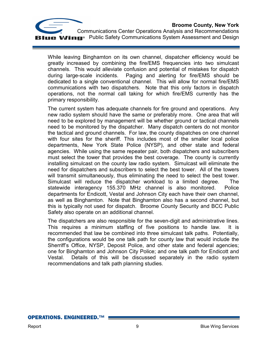

While leaving Binghamton on its own channel, dispatcher efficiency would be greatly increased by combining the fire/EMS frequencies into two simulcast channels. This would alleviate confusion and potential of mistakes for dispatch during large-scale incidents. Paging and alerting for fire/EMS should be dedicated to a single conventional channel. This will allow for normal fire/EMS communications with two dispatchers. Note that this only factors in dispatch operations, not the normal call taking for which fire/EMS currently has the primary responsibility.

The current system has adequate channels for fire ground and operations. Any new radio system should have the same or preferably more. One area that will need to be explored by management will be whether ground or tactical channels need to be monitored by the dispatcher. Many dispatch centers do not monitor the tactical and ground channels. For law, the county dispatches on one channel with four sites for the sheriff. This includes most of the smaller local police departments, New York State Police (NYSP), and other state and federal agencies. While using the same repeater pair, both dispatchers and subscribers must select the tower that provides the best coverage. The county is currently installing simulcast on the county law radio system. Simulcast will eliminate the need for dispatchers and subscribers to select the best tower. All of the towers will transmit simultaneously, thus eliminating the need to select the best tower. Simulcast will reduce the dispatcher workload to a limited degree. The statewide interagency 155.370 MHz channel is also monitored. Police departments for Endicott, Vestal and Johnson City each have their own channel, as well as Binghamton. Note that Binghamton also has a second channel, but this is typically not used for dispatch. Broome County Security and BCC Public Safety also operate on an additional channel.

The dispatchers are also responsible for the seven-digit and administrative lines. This requires a minimum staffing of five positions to handle law. It is recommended that law be combined into three simulcast talk paths. Potentially, the configurations would be one talk path for county law that would include the Sherriff's Office, NYSP, Deposit Police, and other state and federal agencies; one for Binghamton and Johnson City Police; and one talk path for Endicott and Vestal. Details of this will be discussed separately in the radio system recommendations and talk path planning studies.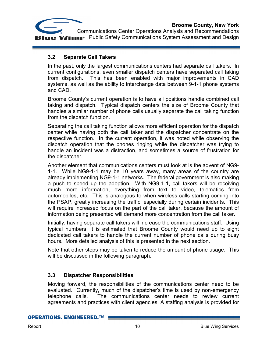

# **3.2 Separate Call Takers**

In the past, only the largest communications centers had separate call takers. In current configurations, even smaller dispatch centers have separated call taking from dispatch. This has been enabled with major improvements in CAD systems, as well as the ability to interchange data between 9-1-1 phone systems and CAD.

Broome County's current operation is to have all positions handle combined call taking and dispatch. Typical dispatch centers the size of Broome County that handles a similar number of phone calls usually separate the call taking function from the dispatch function.

Separating the call taking function allows more efficient operation for the dispatch center while having both the call taker and the dispatcher concentrate on the respective function. In the current operation, it was noted while observing the dispatch operation that the phones ringing while the dispatcher was trying to handle an incident was a distraction, and sometimes a source of frustration for the dispatcher.

Another element that communications centers must look at is the advent of NG9- 1-1. While NG9-1-1 may be 10 years away, many areas of the country are already implementing NG9-1-1 networks. The federal government is also making a push to speed up the adoption. With NG9-1-1, call takers will be receiving much more information, everything from text to video, telematics from automobiles, etc. This is analogous to when wireless calls starting coming into the PSAP, greatly increasing the traffic, especially during certain incidents. This will require increased focus on the part of the call taker, because the amount of information being presented will demand more concentration from the call taker.

Initially, having separate call takers will increase the communications staff. Using typical numbers, it is estimated that Broome County would need up to eight dedicated call takers to handle the current number of phone calls during busy hours. More detailed analysis of this is presented in the next section.

Note that other steps may be taken to reduce the amount of phone usage. This will be discussed in the following paragraph.

# **3.3 Dispatcher Responsibilities**

Moving forward, the responsibilities of the communications center need to be evaluated. Currently, much of the dispatcher's time is used by non-emergency telephone calls. The communications center needs to review current agreements and practices with client agencies. A staffing analysis is provided for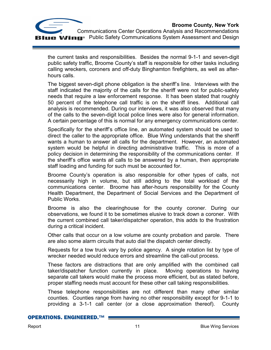

the current tasks and responsibilities. Besides the normal 9-1-1 and seven-digit public safety traffic, Broome County's staff is responsible for other tasks including calling wreckers, coroners and off-duty Binghamton firefighters, as well as afterhours calls.

The biggest seven-digit phone obligation is the sheriff's line. Interviews with the staff indicated the majority of the calls for the sheriff were not for public-safety needs that require a law enforcement response. It has been stated that roughly 50 percent of the telephone call traffic is on the sheriff lines. Additional call analysis is recommended. During our interviews, it was also observed that many of the calls to the seven-digit local police lines were also for general information. A certain percentage of this is normal for any emergency communications center.

Specifically for the sheriff's office line, an automated system should be used to direct the caller to the appropriate office. Blue Wing understands that the sheriff wants a human to answer all calls for the department. However, an automated system would be helpful in directing administrative traffic. This is more of a policy decision in determining the responsibility of the communications center. If the sheriff's office wants all calls to be answered by a human, then appropriate staff loading and funding for such must be accounted for.

Broome County's operation is also responsible for other types of calls, not necessarily high in volume, but still adding to the total workload of the communications center. Broome has after-hours responsibility for the County Health Department, the Department of Social Services and the Department of Public Works.

Broome is also the clearinghouse for the county coroner. During our observations, we found it to be sometimes elusive to track down a coroner. With the current combined call taker/dispatcher operation, this adds to the frustration during a critical incident.

Other calls that occur on a low volume are county probation and parole. There are also some alarm circuits that auto dial the dispatch center directly.

Requests for a tow truck vary by police agency. A single rotation list by type of wrecker needed would reduce errors and streamline the call-out process.

These factors are distractions that are only amplified with the combined call taker/dispatcher function currently in place. Moving operations to having separate call takers would make the process more efficient, but as stated before, proper staffing needs must account for these other call taking responsibilities.

These telephone responsibilities are not different than many other similar counties. Counties range from having no other responsibility except for 9-1-1 to providing a 3-1-1 call center (or a close approximation thereof). County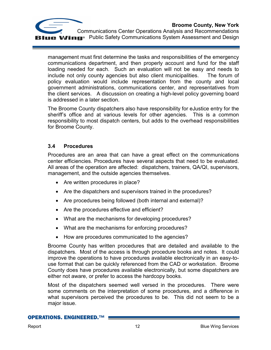

management must first determine the tasks and responsibilities of the emergency communications department, and then properly account and fund for the staff loading needed for each. Such an evaluation will not be easy and needs to include not only county agencies but also client municipalities. The forum of policy evaluation would include representation from the county and local government administrations, communications center, and representatives from the client services. A discussion on creating a high-level policy governing board is addressed in a later section.

The Broome County dispatchers also have responsibility for eJustice entry for the sheriff's office and at various levels for other agencies. This is a common responsibility to most dispatch centers, but adds to the overhead responsibilities for Broome County.

# **3.4 Procedures**

Procedures are an area that can have a great effect on the communications center efficiencies. Procedures have several aspects that need to be evaluated. All areas of the operation are affected: dispatchers, trainers, QA/QI, supervisors, management, and the outside agencies themselves.

- Are written procedures in place?
- Are the dispatchers and supervisors trained in the procedures?
- Are procedures being followed (both internal and external)?
- Are the procedures effective and efficient?
- What are the mechanisms for developing procedures?
- What are the mechanisms for enforcing procedures?
- How are procedures communicated to the agencies?

Broome County has written procedures that are detailed and available to the dispatchers. Most of the access is through procedure books and notes. It could improve the operations to have procedures available electronically in an easy-touse format that can be quickly referenced from the CAD or workstation. Broome County does have procedures available electronically, but some dispatchers are either not aware, or prefer to access the hardcopy books.

Most of the dispatchers seemed well versed in the procedures. There were some comments on the interpretation of some procedures, and a difference in what supervisors perceived the procedures to be. This did not seem to be a major issue.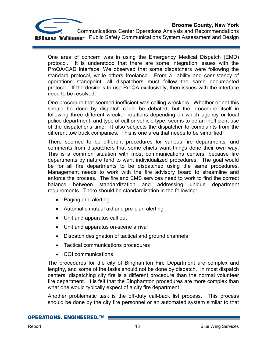

 Communications Center Operations Analysis and Recommendations **Public Safety Communications System Assessment and Design** 

One area of concern was in using the Emergency Medical Dispatch (EMD) protocol. It is understood that there are some integration issues with the ProQA/CAD interface. We observed that some dispatchers were following the standard protocol, while others freelance. From a liability and consistency of operations standpoint, all dispatchers must follow the same documented protocol. If the desire is to use ProQA exclusively, then issues with the interface need to be resolved.

One procedure that seemed inefficient was calling wreckers. Whether or not this should be done by dispatch could be debated, but the procedure itself in following three different wrecker rotations depending on which agency or local police department, and type of call or vehicle type, seems to be an inefficient use of the dispatcher's time. It also subjects the dispatcher to complaints from the different tow truck companies. This is one area that needs to be simplified

There seemed to be different procedures for various fire departments, and comments from dispatchers that some chiefs want things done their own way. This is a common situation with most communications centers, because fire departments by nature tend to want individualized procedures. The goal would be for all fire departments to be dispatched using the same procedures. Management needs to work with the fire advisory board to streamline and enforce the process. The fire and EMS services need to work to find the correct balance between standardization and addressing unique department requirements. There should be standardization in the following:

- Paging and alerting
- Automatic mutual aid and pre-plan alerting
- Unit and apparatus call out
- Unit and apparatus on-scene arrival
- Dispatch designation of tactical and ground channels
- Tactical communications procedures
- COI communications

The procedures for the city of Binghamton Fire Department are complex and lengthy, and some of the tasks should not be done by dispatch. In most dispatch centers, dispatching city fire is a different procedure than the normal volunteer fire department. It is felt that the Binghamton procedures are more complex than what one would typically expect of a city fire department.

Another problematic task is the off-duty call-back list process. This process should be done by the city fire personnel or an automated system similar to that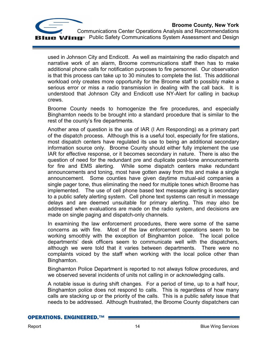

used in Johnson City and Endicott. As well as maintaining the radio dispatch and narrative work of an alarm, Broome communications staff then has to make additional phone calls for notification purposes to fire personnel. Our observation is that this process can take up to 30 minutes to complete the list. This additional workload only creates more opportunity for the Broome staff to possibly make a serious error or miss a radio transmission in dealing with the call back. It is understood that Johnson City and Endicott use NY-Alert for calling in backup crews.

Broome County needs to homogenize the fire procedures, and especially Binghamton needs to be brought into a standard procedure that is similar to the rest of the county's fire departments.

Another area of question is the use of IAR (I Am Responding) as a primary part of the dispatch process. Although this is a useful tool, especially for fire stations, most dispatch centers have regulated its use to being an additional secondary information source only. Broome County should either fully implement the use IAR for effective response, or it becomes secondary in nature. There is also the question of need for the redundant pre and duplicate post-tone announcements for fire and EMS alerting. While some dispatch centers make redundant announcements and toning, most have gotten away from this and make a single announcement. Some counties have given daytime mutual-aid companies a single pager tone, thus eliminating the need for multiple tones which Broome has implemented. The use of cell phone based text message alerting is secondary to a public safety alerting system. Cell phone text systems can result in message delays and are deemed unsuitable for primary alerting. This may also be addressed when evaluations are made on the radio system, and decisions are made on single paging and dispatch-only channels.

In examining the law enforcement procedures, there were some of the same concerns as with fire. Most of the law enforcement operations seem to be working smoothly with the exception of Binghamton police. The local police departments' desk officers seem to communicate well with the dispatchers, although we were told that it varies between departments. There were no complaints voiced by the staff when working with the local police other than Binghamton.

Binghamton Police Department is reported to not always follow procedures, and we observed several incidents of units not calling in or acknowledging calls.

A notable issue is during shift changes. For a period of time, up to a half hour, Binghamton police does not respond to calls. This is regardless of how many calls are stacking up or the priority of the calls. This is a public safety issue that needs to be addressed. Although frustrated, the Broome County dispatchers can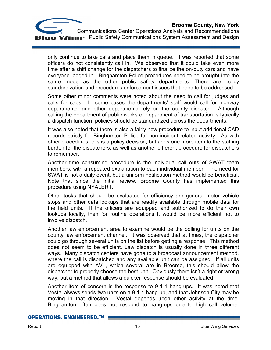

 Communications Center Operations Analysis and Recommendations **Wing** Public Safety Communications System Assessment and Design

only continue to take calls and place them in queue. It was reported that some officers do not consistently call in. We observed that it could take even more time after a shift change for the dispatchers to finalize the on-duty cars and have everyone logged in. Binghamton Police procedures need to be brought into the same mode as the other public safety departments. There are policy standardization and procedures enforcement issues that need to be addressed.

Some other minor comments were noted about the need to call for judges and calls for cabs. In some cases the departments' staff would call for highway departments, and other departments rely on the county dispatch. Although calling the department of public works or department of transportation is typically a dispatch function, policies should be standardized across the departments.

It was also noted that there is also a fairly new procedure to input additional CAD records strictly for Binghamton Police for non-incident related activity. As with other procedures, this is a policy decision, but adds one more item to the staffing burden for the dispatchers, as well as another different procedure for dispatchers to remember.

Another time consuming procedure is the individual call outs of SWAT team members, with a repeated explanation to each individual member. The need for SWAT is not a daily event, but a uniform notification method would be beneficial. Note that since the initial review, Broome County has implemented this procedure using NYALERT.

Other tasks that should be evaluated for efficiency are general motor vehicle stops and other data lookups that are readily available through mobile data for the field units. If the officers are equipped and authorized to do their own lookups locally, then for routine operations it would be more efficient not to involve dispatch.

Another law enforcement area to examine would be the polling for units on the county law enforcement channel. It was observed that at times, the dispatcher could go through several units on the list before getting a response. This method does not seem to be efficient. Law dispatch is usually done in three different ways. Many dispatch centers have gone to a broadcast announcement method, where the call is dispatched and any available unit can be assigned. If all units are equipped with AVL, which several are in Broome, this should allow the dispatcher to properly choose the best unit. Obviously there isn't a right or wrong way, but a method that allows a quicker response should be evaluated.

Another item of concern is the response to 9-1-1 hang-ups. It was noted that Vestal always sends two units on a 9-1-1 hang-up, and that Johnson City may be moving in that direction. Vestal depends upon other activity at the time. Binghamton often does not respond to hang-ups due to high call volume.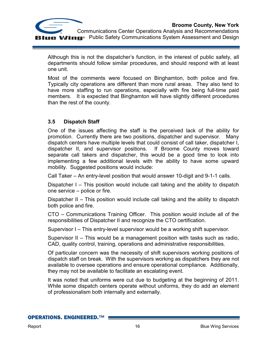

Although this is not the dispatcher's function, in the interest of public safety, all departments should follow similar procedures, and should respond with at least one unit.

Most of the comments were focused on Binghamton, both police and fire. Typically city operations are different than more rural areas. They also tend to have more staffing to run operations, especially with fire being full-time paid members. It is expected that Binghamton will have slightly different procedures than the rest of the county.

# **3.5 Dispatch Staff**

One of the issues affecting the staff is the perceived lack of the ability for promotion. Currently there are two positions, dispatcher and supervisor. Many dispatch centers have multiple levels that could consist of call taker, dispatcher I, dispatcher II, and supervisor positions. If Broome County moves toward separate call takers and dispatcher, this would be a good time to look into implementing a few additional levels with the ability to have some upward mobility. Suggested positions would include:

Call Taker – An entry-level position that would answer 10-digit and 9-1-1 calls.

Dispatcher I – This position would include call taking and the ability to dispatch one service – police or fire.

Dispatcher II – This position would include call taking and the ability to dispatch both police and fire.

CTO – Communications Training Officer. This position would include all of the responsibilities of Dispatcher II and recognize the CTO certification.

Supervisor I – This entry-level supervisor would be a working shift supervisor.

Supervisor II – This would be a management position with tasks such as radio, CAD, quality control, training, operations and administrative responsibilities.

Of particular concern was the necessity of shift supervisors working positions of dispatch staff on break. With the supervisors working as dispatchers they are not available to oversee operations and ensure operational compliance. Additionally, they may not be available to facilitate an escalating event.

It was noted that uniforms were cut due to budgeting at the beginning of 2011. While some dispatch centers operate without uniforms, they do add an element of professionalism both internally and externally.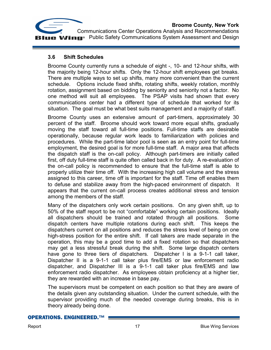

# **3.6 Shift Schedules**

Broome County currently runs a schedule of eight -, 10- and 12-hour shifts, with the majority being 12-hour shifts. Only the 12-hour shift employees get breaks. There are multiple ways to set up shifts, many more convenient than the current schedule. Options include fixed shifts, rotating shifts, weekly rotation, monthly rotation, assignment based on bidding by seniority and seniority not a factor. No one method will suit all employees. The PSAP visits had shown that every communications center had a different type of schedule that worked for its situation. The goal must be what best suits management and a majority of staff.

Broome County uses an extensive amount of part-timers, approximately 30 percent of the staff. Broome should work toward more equal shifts, gradually moving the staff toward all full-time positions. Full-time staffs are desirable operationally, because regular work leads to familiarization with policies and procedures. While the part-time labor pool is seen as an entry point for full-time employment, the desired goal is for more full-time staff. A major area that affects the dispatch staff is the on-call policy. Although part-timers are initially called first, off duty full-time staff is quite often called back in for duty. A re-evaluation of the on-call policy is recommended to ensure that the full-time staff is able to properly utilize their time off. With the increasing high call volume and the stress assigned to this career, time off is important for the staff. Time off enables them to defuse and stabilize away from the high-paced environment of dispatch. It appears that the current on-call process creates additional stress and tension among the members of the staff.

Many of the dispatchers only work certain positions. On any given shift, up to 50% of the staff report to be not "comfortable" working certain positions. Ideally all dispatchers should be trained and rotated through all positions. Some dispatch centers have multiple rotations during each shift. This keeps the dispatchers current on all positions and reduces the stress level of being on one high-stress position for the entire shift. If call takers are made separate in the operation, this may be a good time to add a fixed rotation so that dispatchers may get a less stressful break during the shift. Some large dispatch centers have gone to three tiers of dispatchers. Dispatcher I is a 9-1-1 call taker, Dispatcher II is a 9-1-1 call taker plus fire/EMS or law enforcement radio dispatcher, and Dispatcher III is a 9-1-1 call taker plus fire/EMS and law enforcement radio dispatcher. As employees obtain proficiency at a higher tier, they are rewarded with an increase in base pay.

The supervisors must be competent on each position so that they are aware of the details given any outstanding situation. Under the current schedule, with the supervisor providing much of the needed coverage during breaks, this is in theory already being done.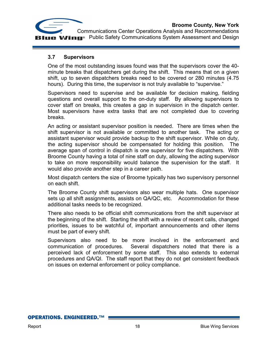

# **3.7 Supervisors**

One of the most outstanding issues found was that the supervisors cover the 40 minute breaks that dispatchers get during the shift. This means that on a given shift, up to seven dispatchers breaks need to be covered or 280 minutes (4.75 hours). During this time, the supervisor is not truly available to "supervise."

Supervisors need to supervise and be available for decision making, fielding questions and overall support to the on-duty staff. By allowing supervisors to cover staff on breaks, this creates a gap in supervision in the dispatch center. Most supervisors have extra tasks that are not completed due to covering breaks.

An acting or assistant supervisor position is needed. There are times when the shift supervisor is not available or committed to another task. The acting or assistant supervisor would provide backup to the shift supervisor. While on duty, the acting supervisor should be compensated for holding this position. The average span of control in dispatch is one supervisor for five dispatchers. With Broome County having a total of nine staff on duty, allowing the acting supervisor to take on more responsibility would balance the supervision for the staff. It would also provide another step in a career path.

Most dispatch centers the size of Broome typically has two supervisory personnel on each shift.

The Broome County shift supervisors also wear multiple hats. One supervisor sets up all shift assignments, assists on QA/QC, etc. Accommodation for these additional tasks needs to be recognized.

There also needs to be official shift communications from the shift supervisor at the beginning of the shift. Starting the shift with a review of recent calls, changed priorities, issues to be watchful of, important announcements and other items must be part of every shift.

Supervisors also need to be more involved in the enforcement and communication of procedures. Several dispatchers noted that there is a perceived lack of enforcement by some staff. This also extends to external procedures and QA/QI. The staff report that they do not get consistent feedback on issues on external enforcement or policy compliance.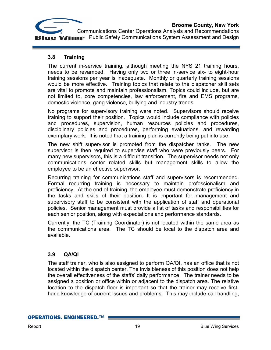

# **3.8 Training**

The current in-service training, although meeting the NYS 21 training hours, needs to be revamped. Having only two or three in-service six- to eight-hour training sessions per year is inadequate. Monthly or quarterly training sessions would be more effective. Training topics that relate to the dispatcher skill sets are vital to promote and maintain professionalism. Topics could include, but are not limited to, core competencies, law enforcement, fire and EMS programs, domestic violence, gang violence, bullying and industry trends.

No programs for supervisory training were noted. Supervisors should receive training to support their position. Topics would include compliance with policies and procedures, supervision, human resources policies and procedures, disciplinary policies and procedures, performing evaluations, and rewarding exemplary work. It is noted that a training plan is currently being put into use.

The new shift supervisor is promoted from the dispatcher ranks. The new supervisor is then required to supervise staff who were previously peers. For many new supervisors, this is a difficult transition. The supervisor needs not only communications center related skills but management skills to allow the employee to be an effective supervisor.

Recurring training for communications staff and supervisors is recommended. Formal recurring training is necessary to maintain professionalism and proficiency. At the end of training, the employee must demonstrate proficiency in the tasks and skills of their position. It is important for management and supervisory staff to be consistent with the application of staff and operational policies. Senior management must provide a list of tasks and responsibilities for each senior position, along with expectations and performance standards.

Currently, the TC (Training Coordinator) is not located within the same area as the communications area. The TC should be local to the dispatch area and available.

# **3.9 QA/QI**

The staff trainer, who is also assigned to perform QA/QI, has an office that is not located within the dispatch center. The invisibleness of this position does not help the overall effectiveness of the staffs' daily performance. The trainer needs to be assigned a position or office within or adjacent to the dispatch area. The relative location to the dispatch floor is important so that the trainer may receive firsthand knowledge of current issues and problems. This may include call handling,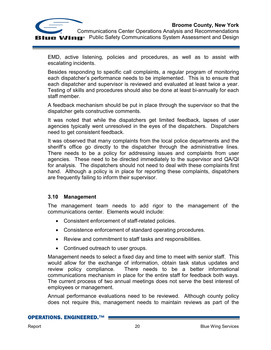

EMD, active listening, policies and procedures, as well as to assist with escalating incidents.

Besides responding to specific call complaints, a regular program of monitoring each dispatcher's performance needs to be implemented. This is to ensure that each dispatcher and supervisor is reviewed and evaluated at least twice a year. Testing of skills and procedures should also be done at least bi-annually for each staff member.

A feedback mechanism should be put in place through the supervisor so that the dispatcher gets constructive comments.

It was noted that while the dispatchers get limited feedback, lapses of user agencies typically went unresolved in the eyes of the dispatchers. Dispatchers need to get consistent feedback.

It was observed that many complaints from the local police departments and the sheriff's office go directly to the dispatcher through the administrative lines. There needs to be a policy for addressing issues and complaints from user agencies. These need to be directed immediately to the supervisor and QA/QI for analysis. The dispatchers should not need to deal with these complaints first hand. Although a policy is in place for reporting these complaints, dispatchers are frequently failing to inform their supervisor.

# **3.10 Management**

The management team needs to add rigor to the management of the communications center. Elements would include:

- Consistent enforcement of staff-related policies.
- Consistence enforcement of standard operating procedures.
- Review and commitment to staff tasks and responsibilities.
- Continued outreach to user groups.

Management needs to select a fixed day and time to meet with senior staff. This would allow for the exchange of information, obtain task status updates and review policy compliance. There needs to be a better informational communications mechanism in place for the entire staff for feedback both ways. The current process of two annual meetings does not serve the best interest of employees or management.

Annual performance evaluations need to be reviewed. Although county policy does not require this, management needs to maintain reviews as part of the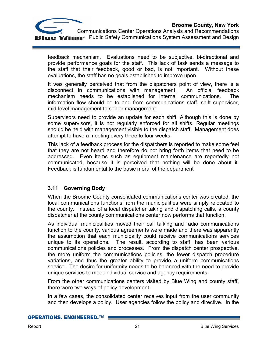

feedback mechanism. Evaluations need to be subjective, bi-directional and provide performance goals for the staff. This lack of task sends a message to the staff that their feedback, good or bad, is not important. Without these evaluations, the staff has no goals established to improve upon.

It was generally perceived that from the dispatchers point of view, there is a disconnect in communications with management. An official feedback mechanism needs to be established for internal communications. The information flow should be to and from communications staff, shift supervisor, mid-level management to senior management.

Supervisors need to provide an update for each shift. Although this is done by some supervisors, it is not regularly enforced for all shifts. Regular meetings should be held with management visible to the dispatch staff. Management does attempt to have a meeting every three to four weeks.

This lack of a feedback process for the dispatchers is reported to make some feel that they are not heard and therefore do not bring forth items that need to be addressed. Even items such as equipment maintenance are reportedly not communicated, because it is perceived that nothing will be done about it. Feedback is fundamental to the basic moral of the department

# **3.11 Governing Body**

When the Broome County consolidated communications center was created, the local communications functions from the municipalities were simply relocated to the county. Instead of a local dispatcher taking and dispatching calls, a county dispatcher at the county communications center now performs that function.

As individual municipalities moved their call talking and radio communications function to the county, various agreements were made and there was apparently the assumption that each municipality could receive communications services unique to its operations. The result, according to staff, has been various communications policies and processes. From the dispatch center prospective, the more uniform the communications policies, the fewer dispatch procedure variations, and thus the greater ability to provide a uniform communications service. The desire for uniformity needs to be balanced with the need to provide unique services to meet individual service and agency requirements.

From the other communications centers visited by Blue Wing and county staff, there were two ways of policy development.

In a few cases, the consolidated center receives input from the user community and then develops a policy. User agencies follow the policy and directive. In the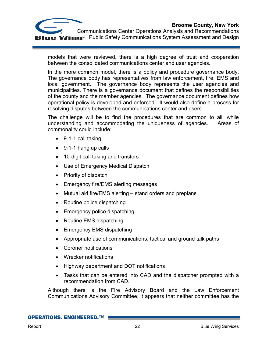

 Communications Center Operations Analysis and Recommendations **U.B. Wing** Public Safety Communications System Assessment and Design

models that were reviewed, there is a high degree of trust and cooperation between the consolidated communications center and user agencies.

In the more common model, there is a policy and procedure governance body. The governance body has representatives from law enforcement, fire, EMS and local government. The governance body represents the user agencies and municipalities. There is a governance document that defines the responsibilities of the county and the member agencies. The governance document defines how operational policy is developed and enforced. It would also define a process for resolving disputes between the communications center and users.

The challenge will be to find the procedures that are common to all, while understanding and accommodating the uniqueness of agencies. Areas of commonality could include:

- 9-1-1 call taking
- 9-1-1 hang up calls
- 10-digit call taking and transfers
- Use of Emergency Medical Dispatch
- Priority of dispatch
- Emergency fire/EMS alerting messages
- Mutual aid fire/EMS alerting stand orders and preplans
- Routine police dispatching
- Emergency police dispatching
- Routine EMS dispatching
- Emergency EMS dispatching
- Appropriate use of communications, tactical and ground talk paths
- Coroner notifications
- Wrecker notifications
- Highway department and DOT notifications
- Tasks that can be entered into CAD and the dispatcher prompted with a recommendation from CAD.

Although there is the Fire Advisory Board and the Law Enforcement Communications Advisory Committee, it appears that neither committee has the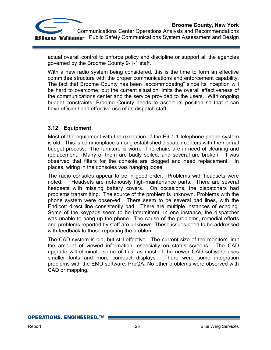

actual overall control to enforce policy and discipline or support all the agencies governed by the Broome County 9-1-1 staff.

With a new radio system being considered, this is the time to form an effective committee structure with the proper communications and enforcement capability. The fact that Broome County has been "accommodating" since its inception will be hard to overcome, but the current situation limits the overall effectiveness of the communications center and the service provided to the users. With ongoing budget constraints, Broome County needs to assert its position so that it can have efficient and effective use of its dispatch staff.

# **3.12 Equipment**

Most of the equipment with the exception of the E9-1-1 telephone phone system is old. This is commonplace among established dispatch centers with the normal budget process. The furniture is worn. The chairs are in need of cleaning and replacement. Many of them are badly soiled, and several are broken. It was observed that filters for the console are clogged and need replacement. In places, wiring in the consoles was hanging loose. .

The radio consoles appear to be in good order. Problems with headsets were noted. Headsets are notoriously high-maintenance parts. There are several headsets with missing battery covers. On occasions, the dispatchers had problems transmitting. The source of the problem is unknown. Problems with the phone system were observed. There seem to be several bad lines, with the Endicott direct line consistently bad. There are multiple instances of echoing. Some of the keypads seem to be intermittent. In one instance, the dispatcher was unable to hang up the phone. The cause of the problems, remedial efforts and problems reported by staff are unknown. These issues need to be addressed with feedback to those reporting the problem.

The CAD system is old, but still effective. The current size of the monitors limit the amount of viewed information, especially on status screens. The CAD upgrade will eliminate some of this, as most of the newer CAD software uses smaller fonts and more compact displays. There were some integration problems with the EMD software, ProQA. No other problems were observed with CAD or mapping.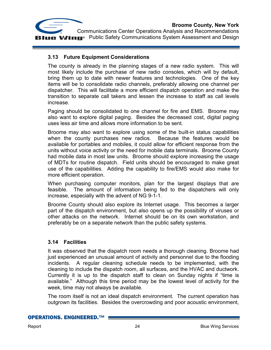

# **3.13 Future Equipment Considerations**

The county is already in the planning stages of a new radio system. This will most likely include the purchase of new radio consoles, which will by default, bring them up to date with newer features and technologies. One of the key items will be to consolidate radio channels, preferably allowing one channel per dispatcher. This will facilitate a more efficient dispatch operation and make the transition to separate call takers and lessen the increase to staff as call levels increase.

Paging should be consolidated to one channel for fire and EMS. Broome may also want to explore digital paging. Besides the decreased cost, digital paging uses less air time and allows more information to be sent.

Broome may also want to explore using some of the built-in status capabilities when the county purchases new radios. Because the features would be available for portables and mobiles, it could allow for efficient response from the units without voice activity or the need for mobile data terminals. Broome County had mobile data in most law units. Broome should explore increasing the usage of MDTs for routine dispatch. Field units should be encouraged to make great use of the capabilities. Adding the capability to fire/EMS would also make for more efficient operation.

When purchasing computer monitors, plan for the largest displays that are feasible. The amount of information being fed to the dispatchers will only increase, especially with the advent of NG 9-1-1.

Broome County should also explore its Internet usage. This becomes a larger part of the dispatch environment, but also opens up the possibility of viruses or other attacks on the network. Internet should be on its own workstation, and preferably be on a separate network than the public safety systems.

# **3.14 Facilities**

It was observed that the dispatch room needs a thorough cleaning. Broome had just experienced an unusual amount of activity and personnel due to the flooding incidents. A regular cleaning schedule needs to be implemented, with the cleaning to include the dispatch room, all surfaces, and the HVAC and ductwork. Currently it is up to the dispatch staff to clean on Sunday nights if "time is available." Although this time period may be the lowest level of activity for the week, time may not always be available.

The room itself is not an ideal dispatch environment. The current operation has outgrown its facilities. Besides the overcrowding and poor acoustic environment,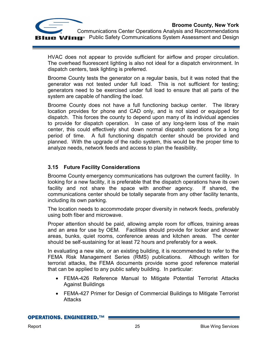



HVAC does not appear to provide sufficient for airflow and proper circulation. The overhead fluorescent lighting is also not ideal for a dispatch environment. In dispatch centers, task lighting is preferred.

Broome County tests the generator on a regular basis, but it was noted that the generator was not tested under full load. This is not sufficient for testing; generators need to be exercised under full load to ensure that all parts of the system are capable of handling the load.

Broome County does not have a full functioning backup center. The library location provides for phone and CAD only, and is not sized or equipped for dispatch. This forces the county to depend upon many of its individual agencies to provide for dispatch operation. In case of any long-term loss of the main center, this could effectively shut down normal dispatch operations for a long period of time. A full functioning dispatch center should be provided and planned. With the upgrade of the radio system, this would be the proper time to analyze needs, network feeds and access to plan the feasibility.

# **3.15 Future Facility Considerations**

Broome County emergency communications has outgrown the current facility. In looking for a new facility, it is preferable that the dispatch operations have its own facility and not share the space with another agency. If shared, the communications center should be totally separate from any other facility tenants, including its own parking.

The location needs to accommodate proper diversity in network feeds, preferably using both fiber and microwave.

Proper attention should be paid, allowing ample room for offices, training areas and an area for use by OEM. Facilities should provide for locker and shower areas, bunks, quiet rooms, conference areas and kitchen areas. The center should be self-sustaining for at least 72 hours and preferably for a week.

In evaluating a new site, or an existing building, it is recommended to refer to the FEMA Risk Management Series (RMS) publications. Although written for terrorist attacks, the FEMA documents provide some good reference material that can be applied to any public safety building. In particular:

- FEMA-426 Reference Manual to Mitigate Potential Terrorist Attacks Against Buildings
- FEMA-427 Primer for Design of Commercial Buildings to Mitigate Terrorist Attacks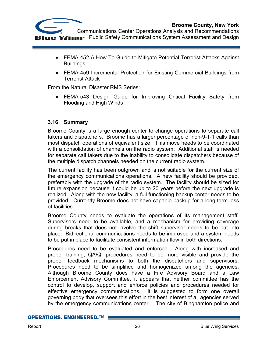

- FEMA-452 A How-To Guide to Mitigate Potential Terrorist Attacks Against **Buildings**
- FEMA-459 Incremental Protection for Existing Commercial Buildings from Terrorist Attack

From the Natural Disaster RMS Series:

• FEMA-543 Design Guide for Improving Critical Facility Safety from Flooding and High Winds

# **3.16 Summary**

Broome County is a large enough center to change operations to separate call takers and dispatchers. Broome has a larger percentage of non-9-1-1 calls than most dispatch operations of equivalent size. This move needs to be coordinated with a consolidation of channels on the radio system. Additional staff is needed for separate call takers due to the inability to consolidate dispatchers because of the multiple dispatch channels needed on the current radio system.

The current facility has been outgrown and is not suitable for the current size of the emergency communications operations. A new facility should be provided, preferably with the upgrade of the radio system. The facility should be sized for future expansion because it could be up to 20 years before the next upgrade is realized. Along with the new facility, a full functioning backup center needs to be provided. Currently Broome does not have capable backup for a long-term loss of facilities.

Broome County needs to evaluate the operations of its management staff. Supervisors need to be available, and a mechanism for providing coverage during breaks that does not involve the shift supervisor needs to be put into place. Bidirectional communications needs to be improved and a system needs to be put in place to facilitate consistent information flow in both directions.

Procedures need to be evaluated and enforced. Along with increased and proper training, QA/QI procedures need to be more visible and provide the proper feedback mechanisms to both the dispatchers and supervisors. Procedures need to be simplified and homogenized among the agencies. Although Broome County does have a Fire Advisory Board and a Law Enforcement Advisory Committee, it appears that neither committee has the control to develop, support and enforce policies and procedures needed for effective emergency communications. It is suggested to form one overall governing body that oversees this effort in the best interest of all agencies served by the emergency communications center. The city of Binghamton police and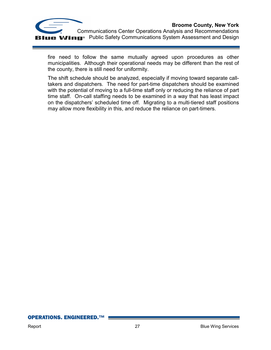

 Communications Center Operations Analysis and Recommendations **In C**<sup>®</sup> Public Safety Communications System Assessment and Design

fire need to follow the same mutually agreed upon procedures as other municipalities. Although their operational needs may be different than the rest of the county, there is still need for uniformity.

The shift schedule should be analyzed, especially if moving toward separate calltakers and dispatchers. The need for part-time dispatchers should be examined with the potential of moving to a full-time staff only or reducing the reliance of part time staff. On-call staffing needs to be examined in a way that has least impact on the dispatchers' scheduled time off. Migrating to a multi-tiered staff positions may allow more flexibility in this, and reduce the reliance on part-timers.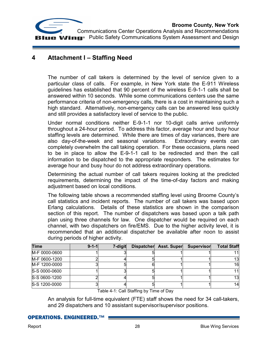

# **4 Attachment I – Staffing Need**

The number of call takers is determined by the level of service given to a particular class of calls. For example, in New York state the E-911 Wireless guidelines has established that 90 percent of the wireless E-9-1-1 calls shall be answered within 10 seconds. While some communications centers use the same performance criteria of non-emergency calls, there is a cost in maintaining such a high standard. Alternatively, non-emergency calls can be answered less quickly and still provides a satisfactory level of service to the public.

Under normal conditions neither E-9-1-1 nor 10-digit calls arrive uniformly throughout a 24-hour period. To address this factor, average hour and busy hour staffing levels are determined. While there are times of day variances, there are also day-of-the-week and seasonal variations. Extraordinary events can completely overwhelm the call taking operation. For these occasions, plans need to be in place to allow the E-9-1-1 call to be redirected and then the call information to be dispatched to the appropriate responders. The estimates for average hour and busy hour do not address extraordinary operations.

Determining the actual number of call takers requires looking at the predicted requirements, determining the impact of the time-of-day factors and making adjustment based on local conditions.

The following table shows a recommended staffing level using Broome County's call statistics and incident reports. The number of call takers was based upon Erlang calculations. Details of these statistics are shown in the comparison section of this report. The number of dispatchers was based upon a talk path plan using three channels for law. One dispatcher would be required on each channel, with two dispatchers on fire/EMS. Due to the higher activity level, it is recommended that an additional dispatcher be available after noon to assist during periods of higher activity.

| <b>Time</b>   | $9 - 1 - 1$ | 7-digit | <b>Dispatcher</b> | <b>Asst. Super</b> | Supervisor | <b>Total Staff</b> |
|---------------|-------------|---------|-------------------|--------------------|------------|--------------------|
| M-F 0000-0600 |             |         |                   |                    |            |                    |
| M-F 0600-1200 |             |         |                   |                    |            | 131                |
| M-F 1200-0000 |             |         |                   |                    |            | 16                 |
| S-S 0000-0600 |             |         |                   |                    |            | 111                |
| S-S 0600-1200 |             |         |                   |                    |            | 13l                |
| S-S 1200-0000 |             |         |                   |                    |            | 14                 |

Table 4-1: Call Staffing by Time of Day

An analysis for full-time equivalent (FTE) staff shows the need for 34 call-takers, and 29 dispatchers and 10 assistant supervisor/supervisor positions.